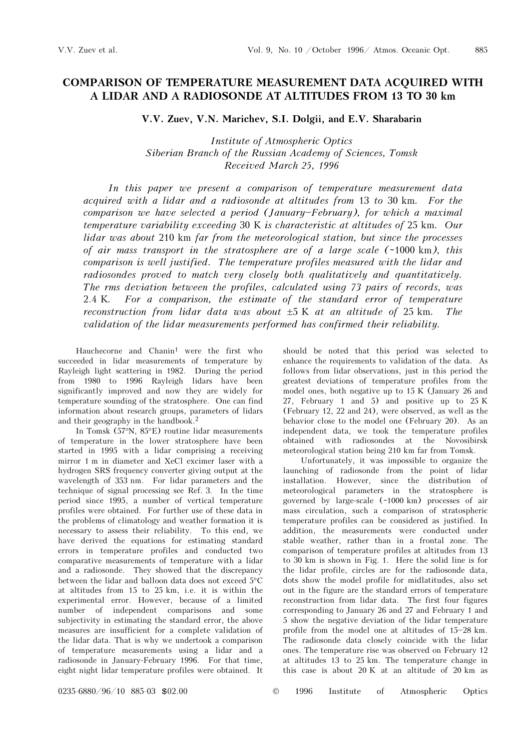## COMPARISON OF TEMPERATURE MEASUREMENT DATA ACQUIRED WITH A LIDAR AND A RADIOSONDE AT ALTITUDES FROM 13 TO 30 km

V.V. Zuev, V.N. Marichev, S.I. Dolgii, and E.V. Sharabarin

Institute of Atmospheric Optics Siberian Branch of the Russian Academy of Sciences, Tomsk Received March 25, 1996

In this paper we present a comparison of temperature measurement data acquired with a lidar and a radiosonde at altitudes from 13 to 30 km. For the comparison we have selected a period (January-February), for which a maximal temperature variability exceeding 30 K is characteristic at altitudes of 25 km. Our lidar was about 210 km far from the meteorological station, but since the processes of air mass transport in the stratosphere are of a large scale (~1000 km), this comparison is well justified. The temperature profiles measured with the lidar and radiosondes proved to match very closely both qualitatively and quantitatively. The rms deviation between the profiles, calculated using 73 pairs of records, was 2.4 K. For a comparison, the estimate of the standard error of temperature reconstruction from lidar data was about  $\pm 5$  K at an altitude of 25 km. The validation of the lidar measurements performed has confirmed their reliability.

Hauchecorne and Chanin<sup>1</sup> were the first who succeeded in lidar measurements of temperature by Rayleigh light scattering in 1982. During the period from 1980 to 1996 Rayleigh lidars have been significantly improved and now they are widely for temperature sounding of the stratosphere. One can find information about research groups, parameters of lidars and their geography in the handbook.<sup>2</sup>

In Tomsk (57°N, 85°E) routine lidar measurements of temperature in the lower stratosphere have been started in 1995 with a lidar comprising a receiving mirror 1 m in diameter and XeCl excimer laser with a hydrogen SRS frequency converter giving output at the wavelength of 353 nm. For lidar parameters and the technique of signal processing see Ref. 3. In the time period since 1995, a number of vertical temperature profiles were obtained. For further use of these data in the problems of climatology and weather formation it is necessary to assess their reliability. To this end, we have derived the equations for estimating standard errors in temperature profiles and conducted two comparative measurements of temperature with a lidar and a radiosonde. They showed that the discrepancy between the lidar and balloon data does not exceed 5°C at altitudes from 15 to 25 km, i.e. it is within the experimental error. However, because of a limited number of independent comparisons and some subjectivity in estimating the standard error, the above measures are insufficient for a complete validation of the lidar data. That is why we undertook a comparison of temperature measurements using a lidar and a radiosonde in January-February 1996. For that time, eight night lidar temperature profiles were obtained. It should be noted that this period was selected to enhance the requirements to validation of the data. As follows from lidar observations, just in this period the greatest deviations of temperature profiles from the model ones, both negative up to 15 K (January 26 and 27, February 1 and 5) and positive up to 25 K (February 12, 22 and 24), were observed, as well as the behavior close to the model one (February 20). As an independent data, we took the temperature profiles obtained with radiosondes at the Novosibirsk meteorological station being 210 km far from Tomsk.

Unfortunately, it was impossible to organize the launching of radiosonde from the point of lidar installation. However, since the distribution of meteorological parameters in the stratosphere is governed by large-scale (~1000 km) processes of air mass circulation, such a comparison of stratospheric temperature profiles can be considered as justified. In addition, the measurements were conducted under stable weather, rather than in a frontal zone. The comparison of temperature profiles at altitudes from 13 to 30 km is shown in Fig. 1. Here the solid line is for the lidar profile, circles are for the radiosonde data, dots show the model profile for midlatitudes, also set out in the figure are the standard errors of temperature reconstruction from lidar data. The first four figures corresponding to January 26 and 27 and February 1 and 5 show the negative deviation of the lidar temperature profile from the model one at altitudes of  $15-28$  km. The radiosonde data closely coincide with the lidar ones. The temperature rise was observed on February 12 at altitudes 13 to 25 km. The temperature change in this case is about 20 K at an altitude of 20 km as

0235-6880/96/10 885-03 \$02.00 © 1996 Institute of Atmospheric Optics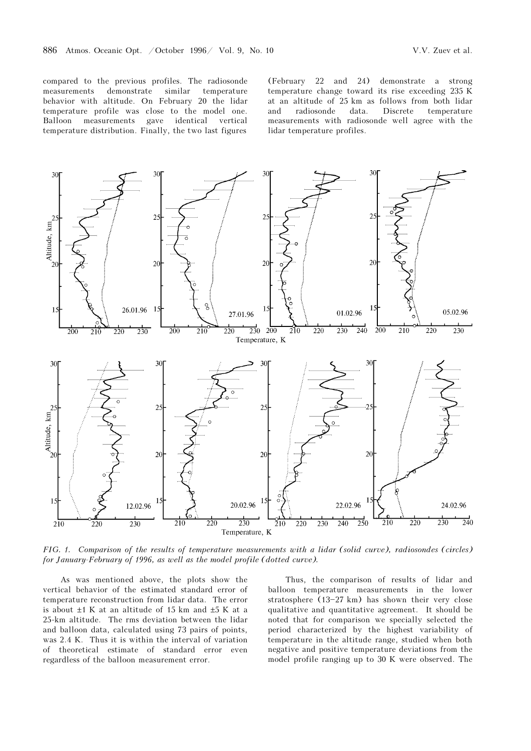compared to the previous profiles. The radiosonde measurements demonstrate similar temperature behavior with altitude. On February 20 the lidar temperature profile was close to the model one. Balloon measurements gave identical vertical temperature distribution. Finally, the two last figures

(February 22 and 24) demonstrate a strong temperature change toward its rise exceeding 235 K at an altitude of 25 km as follows from both lidar and radiosonde data. Discrete temperature measurements with radiosonde well agree with the lidar temperature profiles.



FIG. 1. Comparison of the results of temperature measurements with a lidar (solid curve), radiosondes (circles) for January-February of 1996, as well as the model profile (dotted curve).

As was mentioned above, the plots show the vertical behavior of the estimated standard error of temperature reconstruction from lidar data. The error is about ±1 K at an altitude of 15 km and ±5 K at a 25-km altitude. The rms deviation between the lidar and balloon data, calculated using 73 pairs of points, was 2.4 K. Thus it is within the interval of variation of theoretical estimate of standard error even regardless of the balloon measurement error.

Thus, the comparison of results of lidar and balloon temperature measurements in the lower stratosphere  $(13-27 \text{ km})$  has shown their very close qualitative and quantitative agreement. It should be noted that for comparison we specially selected the period characterized by the highest variability of temperature in the altitude range, studied when both negative and positive temperature deviations from the model profile ranging up to 30 K were observed. The